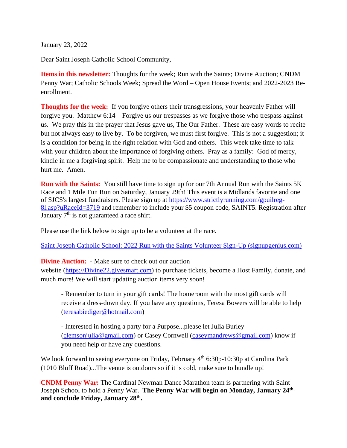January 23, 2022

Dear Saint Joseph Catholic School Community,

**Items in this newsletter:** Thoughts for the week; Run with the Saints; Divine Auction; CNDM Penny War; Catholic Schools Week; Spread the Word – Open House Events; and 2022-2023 Reenrollment.

**Thoughts for the week:** If you forgive others their transgressions, your heavenly Father will forgive you. Matthew 6:14 – Forgive us our trespasses as we forgive those who trespass against us. We pray this in the prayer that Jesus gave us, The Our Father. These are easy words to recite but not always easy to live by. To be forgiven, we must first forgive. This is not a suggestion; it is a condition for being in the right relation with God and others. This week take time to talk with your children about the importance of forgiving others. Pray as a family: God of mercy, kindle in me a forgiving spirit. Help me to be compassionate and understanding to those who hurt me. Amen.

**Run with the Saints:** You still have time to sign up for our 7th Annual Run with the Saints 5K Race and 1 Mile Fun Run on Saturday, January 29th! This event is a Midlands favorite and one of SJCS's largest fundraisers. Please sign up at [https://www.strictlyrunning.com/gpuilreg-](https://www.strictlyrunning.com/gpuilreg-8l.asp?uRaceId=3719)[8l.asp?uRaceId=3719](https://www.strictlyrunning.com/gpuilreg-8l.asp?uRaceId=3719) and remember to include your \$5 coupon code, SAINT5. Registration after January  $7<sup>th</sup>$  is not guaranteed a race shirt.

Please use the link below to sign up to be a volunteer at the race.

[Saint Joseph Catholic School: 2022 Run with the Saints Volunteer Sign-Up \(signupgenius.com\)](https://www.signupgenius.com/go/8050b4ea8ad2babf49-2022)

## **Divine Auction:** - Make sure to check out our auction

website [\(https://Divine22.givesmart.com\)](https://divine22.givesmart.com/) to purchase tickets, become a Host Family, donate, and much more! We will start updating auction items very soon!

- Remember to turn in your gift cards! The homeroom with the most gift cards will receive a dress-down day. If you have any questions, Teresa Bowers will be able to help [\(teresabiediger@hotmail.com\)](mailto:teresabiediger@hotmail.com)

- Interested in hosting a party for a Purpose...please let Julia Burley [\(clemsonjulia@gmail.com\)](mailto:clemsonjulia@gmail.com) or Casey Cornwell [\(caseymandrews@gmail.com\)](mailto:caseymandrews@gmail.com) know if you need help or have any questions.

We look forward to seeing everyone on Friday, February 4<sup>th</sup> 6:30p-10:30p at Carolina Park (1010 Bluff Road)...The venue is outdoors so if it is cold, make sure to bundle up!

**CNDM Penny War:** The Cardinal Newman Dance Marathon team is partnering with Saint Joseph School to hold a Penny War. **The Penny War will begin on Monday, January 24th, and conclude Friday, January 28th .**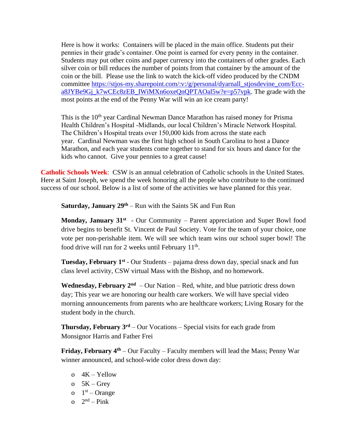Here is how it works: Containers will be placed in the main office. Students put their pennies in their grade's container. One point is earned for every penny in the container. Students may put other coins and paper currency into the containers of other grades. Each silver coin or bill reduces the number of points from that container by the amount of the coin or the bill. Please use the link to watch the kick-off video produced by the CNDM committee [https://stjos-my.sharepoint.com/:v:/g/personal/dyarnall\\_stjosdevine\\_com/Ecc](https://stjos-my.sharepoint.com/:v:/g/personal/dyarnall_stjosdevine_com/Ecc-a8JYBe9Gj_k7wCEc8zEB_IWiMXn6oxeQnQPTAOal5w?e=p57vpk)[a8JYBe9Gj\\_k7wCEc8zEB\\_IWiMXn6oxeQnQPTAOal5w?e=p57vpk.](https://stjos-my.sharepoint.com/:v:/g/personal/dyarnall_stjosdevine_com/Ecc-a8JYBe9Gj_k7wCEc8zEB_IWiMXn6oxeQnQPTAOal5w?e=p57vpk) The grade with the most points at the end of the Penny War will win an ice cream party!

This is the 10<sup>th</sup> year Cardinal Newman Dance Marathon has raised money for Prisma Health Children's Hospital -Midlands, our local Children's Miracle Network Hospital. The Children's Hospital treats over 150,000 kids from across the state each year. Cardinal Newman was the first high school in South Carolina to host a Dance Marathon, and each year students come together to stand for six hours and dance for the kids who cannot. Give your pennies to a great cause!

**Catholic Schools Week**: CSW is an annual celebration of Catholic schools in the United States. Here at Saint Joseph, we spend the week honoring all the people who contribute to the continued success of our school. Below is a list of some of the activities we have planned for this year.

**Saturday, January 29th** – Run with the Saints 5K and Fun Run

**Monday, January 31<sup>st</sup>** - Our Community – Parent appreciation and Super Bowl food drive begins to benefit St. Vincent de Paul Society. Vote for the team of your choice, one vote per non-perishable item. We will see which team wins our school super bowl! The food drive will run for 2 weeks until February 11<sup>th</sup>.

**Tuesday, February 1<sup>st</sup>** - Our Students – pajama dress down day, special snack and fun class level activity, CSW virtual Mass with the Bishop, and no homework.

**Wednesday, February**  $2^{nd}$  – Our Nation – Red, white, and blue patriotic dress down day; This year we are honoring our health care workers. We will have special video morning announcements from parents who are healthcare workers; Living Rosary for the student body in the church.

**Thursday, February 3rd** – Our Vocations – Special visits for each grade from Monsignor Harris and Father Frei

**Friday, February 4th** – Our Faculty – Faculty members will lead the Mass; Penny War winner announced, and school-wide color dress down day:

- $o$  4K Yellow
- o  $5K Grey$
- $0 \quad 1^{st}$  Orange
- o  $2<sup>nd</sup> Pink$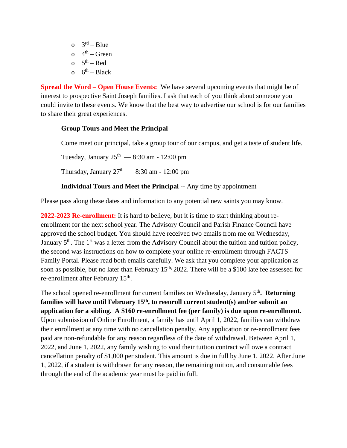o  $3<sup>rd</sup> - Blue$ o  $4<sup>th</sup>$  – Green o  $5<sup>th</sup> - Red$ o  $6^{th}$  – Black

**Spread the Word – Open House Events:** We have several upcoming events that might be of interest to prospective Saint Joseph families. I ask that each of you think about someone you could invite to these events. We know that the best way to advertise our school is for our families to share their great experiences.

## **Group Tours and Meet the Principal**

Come meet our principal, take a group tour of our campus, and get a taste of student life.

Tuesday, January  $25^{\text{th}}$  — 8:30 am - 12:00 pm

Thursday, January  $27<sup>th</sup>$  — 8:30 am - 12:00 pm

## **Individual Tours and Meet the Principal --** Any time by appointment

Please pass along these dates and information to any potential new saints you may know.

**2022-2023 Re-enrollment:** It is hard to believe, but it is time to start thinking about reenrollment for the next school year. The Advisory Council and Parish Finance Council have approved the school budget. You should have received two emails from me on Wednesday, January 5<sup>th</sup>. The 1<sup>st</sup> was a letter from the Advisory Council about the tuition and tuition policy, the second was instructions on how to complete your online re-enrollment through FACTS Family Portal. Please read both emails carefully. We ask that you complete your application as soon as possible, but no later than February  $15<sup>th</sup>$ , 2022. There will be a \$100 late fee assessed for re-enrollment after February 15<sup>th</sup>.

The school opened re-enrollment for current families on Wednesday, January 5<sup>th</sup>. Returning **families will have until February 15th, to reenroll current student(s) and/or submit an application for a sibling. A \$160 re-enrollment fee (per family) is due upon re-enrollment.**  Upon submission of Online Enrollment, a family has until April 1, 2022, families can withdraw their enrollment at any time with no cancellation penalty. Any application or re-enrollment fees paid are non-refundable for any reason regardless of the date of withdrawal. Between April 1, 2022, and June 1, 2022, any family wishing to void their tuition contract will owe a contract cancellation penalty of \$1,000 per student. This amount is due in full by June 1, 2022. After June 1, 2022, if a student is withdrawn for any reason, the remaining tuition, and consumable fees through the end of the academic year must be paid in full.